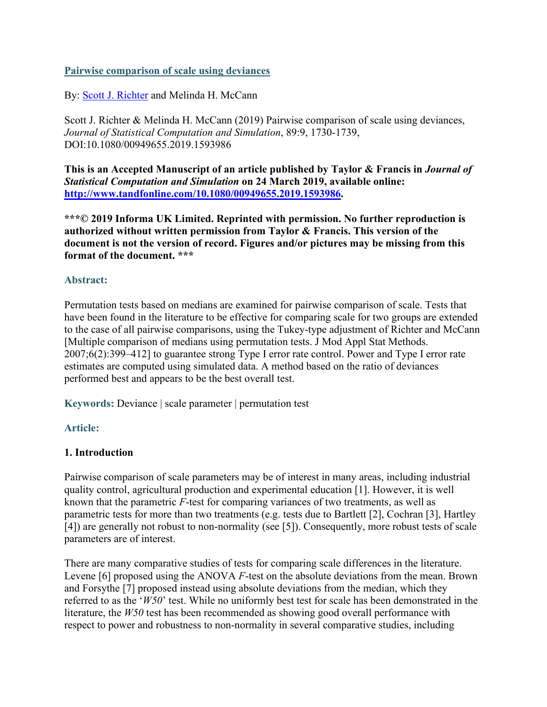### **Pairwise comparison of scale using deviances**

By: [Scott J. Richter](http://libres.uncg.edu/ir/uncg/clist.aspx?id=364) and Melinda H. McCann

Scott J. Richter & Melinda H. McCann (2019) Pairwise comparison of scale using deviances, *Journal of Statistical Computation and Simulation*, 89:9, 1730-1739, DOI:10.1080/00949655.2019.1593986

**This is an Accepted Manuscript of an article published by Taylor & Francis in** *Journal of Statistical Computation and Simulation* **on 24 March 2019, available online: [http://www.tandfonline.com/10.1080/00949655.2019.1593986.](http://www.tandfonline.com/10.1080/00949655.2019.1593986)**

**\*\*\*© 2019 Informa UK Limited. Reprinted with permission. No further reproduction is authorized without written permission from Taylor & Francis. This version of the document is not the version of record. Figures and/or pictures may be missing from this format of the document. \*\*\***

#### **Abstract:**

Permutation tests based on medians are examined for pairwise comparison of scale. Tests that have been found in the literature to be effective for comparing scale for two groups are extended to the case of all pairwise comparisons, using the Tukey-type adjustment of Richter and McCann [Multiple comparison of medians using permutation tests. J Mod Appl Stat Methods. 2007;6(2):399–412] to guarantee strong Type I error rate control. Power and Type I error rate estimates are computed using simulated data. A method based on the ratio of deviances performed best and appears to be the best overall test.

**Keywords:** Deviance | scale parameter | permutation test

## **Article:**

#### **1. Introduction**

Pairwise comparison of scale parameters may be of interest in many areas, including industrial quality control, agricultural production and experimental education [1]. However, it is well known that the parametric *F*-test for comparing variances of two treatments, as well as parametric tests for more than two treatments (e.g. tests due to Bartlett [2], Cochran [3], Hartley [4]) are generally not robust to non-normality (see [5]). Consequently, more robust tests of scale parameters are of interest.

There are many comparative studies of tests for comparing scale differences in the literature. Levene [6] proposed using the ANOVA *F*-test on the absolute deviations from the mean. Brown and Forsythe [7] proposed instead using absolute deviations from the median, which they referred to as the '*W50*' test. While no uniformly best test for scale has been demonstrated in the literature, the *W50* test has been recommended as showing good overall performance with respect to power and robustness to non-normality in several comparative studies, including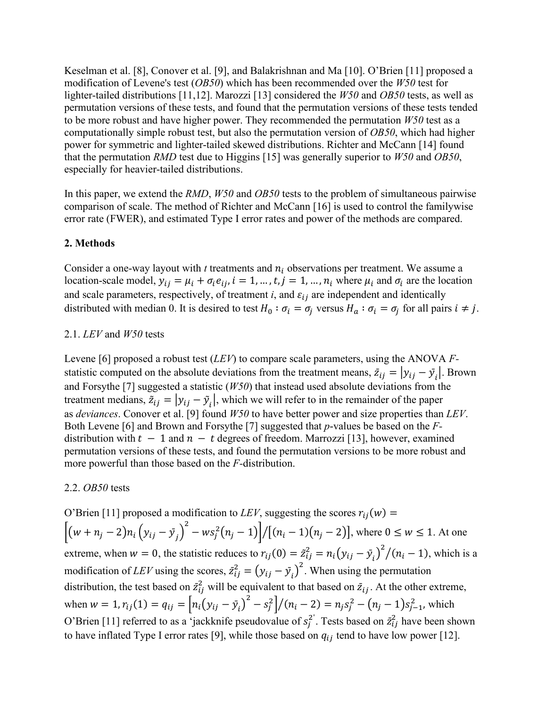Keselman et al. [8], Conover et al. [9], and Balakrishnan and Ma [10]. O'Brien [11] proposed a modification of Levene's test (*OB50*) which has been recommended over the *W50* test for lighter-tailed distributions [11,12]. Marozzi [13] considered the *W50* and *OB50* tests, as well as permutation versions of these tests, and found that the permutation versions of these tests tended to be more robust and have higher power. They recommended the permutation *W50* test as a computationally simple robust test, but also the permutation version of *OB50*, which had higher power for symmetric and lighter-tailed skewed distributions. Richter and McCann [14] found that the permutation *RMD* test due to Higgins [15] was generally superior to *W50* and *OB50*, especially for heavier-tailed distributions.

In this paper, we extend the *RMD*, *W50* and *OB50* tests to the problem of simultaneous pairwise comparison of scale. The method of Richter and McCann [16] is used to control the familywise error rate (FWER), and estimated Type I error rates and power of the methods are compared.

## **2. Methods**

Consider a one-way layout with  $t$  treatments and  $n_i$  observations per treatment. We assume a location-scale model,  $y_{ij} = \mu_i + \sigma_i e_{ij}$ ,  $i = 1, ..., t, j = 1, ..., n_i$  where  $\mu_i$  and  $\sigma_i$  are the location and scale parameters, respectively, of treatment  $i$ , and  $\varepsilon_{ij}$  are independent and identically distributed with median 0. It is desired to test  $H_0 : \sigma_i = \sigma_i$  versus  $H_a : \sigma_i = \sigma_i$  for all pairs  $i \neq j$ .

### 2.1. *LEV* and *W50* tests

Levene [6] proposed a robust test (*LEV*) to compare scale parameters, using the ANOVA *F*statistic computed on the absolute deviations from the treatment means,  $\overline{z}_{ij} = |y_{ij} - \overline{y}_i|$ . Brown and Forsythe [7] suggested a statistic (*W50*) that instead used absolute deviations from the treatment medians,  $\tilde{z}_{ij} = |y_{ij} - \tilde{y}_i|$ , which we will refer to in the remainder of the paper as *deviances*. Conover et al. [9] found *W50* to have better power and size properties than *LEV*. Both Levene [6] and Brown and Forsythe [7] suggested that *p*-values be based on the *F*distribution with  $t - 1$  and  $n - t$  degrees of freedom. Marrozzi [13], however, examined permutation versions of these tests, and found the permutation versions to be more robust and more powerful than those based on the *F-*distribution.

#### 2.2. *OB50* tests

O'Brien [11] proposed a modification to *LEV*, suggesting the scores  $r_{ij}(w)$  =  $\left[ (w + n_j - 2)n_i (y_{ij} - y_j) \right]$  $\left[\frac{2}{(n_j-1)}\right] / \left[(n_i-1)(n_j-2)\right]$ , where  $0 \le w \le 1$ . At one extreme, when  $w = 0$ , the statistic reduces to  $r_{ij}(0) = \frac{\tilde{z}_{ij}^2}{r_{ij}} = \frac{n_i (y_{ij} - \bar{y}_i)^2}{(n_i - 1)}$ , which is a modification of *LEV* using the scores,  $\bar{z}_{ij}^2 = (y_{ij} - \bar{y}_i)^2$ . When using the permutation distribution, the test based on  $\bar{z}_{ij}^2$  will be equivalent to that based on  $\bar{z}_{ij}$ . At the other extreme, when  $w = 1$ ,  $r_{ij}(1) = q_{ij} = \left[ n_i (y_{ij} - \bar{y}_i)^2 - s_j^2 \right] / (n_i - 2) = n_j s_j^2 - (n_j - 1) s_{j-1}^2$ , which O'Brien [11] referred to as a 'jackknife pseudovalue of  $s_j^2$ . Tests based on  $\bar{z}_{ij}^2$  have been shown to have inflated Type I error rates [9], while those based on  $q_{ij}$  tend to have low power [12].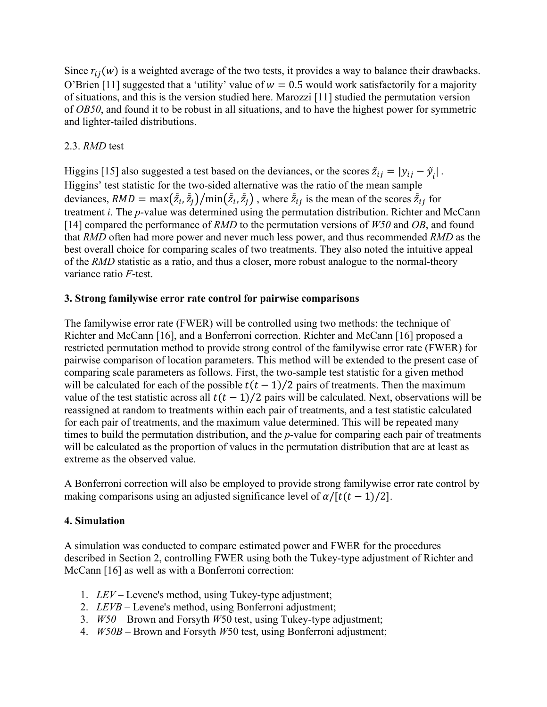Since  $r_{ij}(w)$  is a weighted average of the two tests, it provides a way to balance their drawbacks. O'Brien [11] suggested that a 'utility' value of  $w = 0.5$  would work satisfactorily for a majority of situations, and this is the version studied here. Marozzi [11] studied the permutation version of *OB50*, and found it to be robust in all situations, and to have the highest power for symmetric and lighter-tailed distributions.

## 2.3. *RMD* test

Higgins [15] also suggested a test based on the deviances, or the scores  $\tilde{z}_{ij} = |y_{ij} - \tilde{y}_i|$ . Higgins' test statistic for the two-sided alternative was the ratio of the mean sample deviances,  $RMD = \max(\bar{z}_i, \bar{z}_j) / \min(\bar{z}_i, \bar{z}_j)$ , where  $\bar{z}_{ij}$  is the mean of the scores  $\bar{z}_{ij}$  for treatment *i*. The *p*-value was determined using the permutation distribution. Richter and McCann [14] compared the performance of *RMD* to the permutation versions of *W50* and *OB*, and found that *RMD* often had more power and never much less power, and thus recommended *RMD* as the best overall choice for comparing scales of two treatments. They also noted the intuitive appeal of the *RMD* statistic as a ratio, and thus a closer, more robust analogue to the normal-theory variance ratio *F*-test.

#### **3. Strong familywise error rate control for pairwise comparisons**

The familywise error rate (FWER) will be controlled using two methods: the technique of Richter and McCann [16], and a Bonferroni correction. Richter and McCann [16] proposed a restricted permutation method to provide strong control of the familywise error rate (FWER) for pairwise comparison of location parameters. This method will be extended to the present case of comparing scale parameters as follows. First, the two-sample test statistic for a given method will be calculated for each of the possible  $t(t-1)/2$  pairs of treatments. Then the maximum value of the test statistic across all  $t(t - 1)/2$  pairs will be calculated. Next, observations will be reassigned at random to treatments within each pair of treatments, and a test statistic calculated for each pair of treatments, and the maximum value determined. This will be repeated many times to build the permutation distribution, and the *p*-value for comparing each pair of treatments will be calculated as the proportion of values in the permutation distribution that are at least as extreme as the observed value.

A Bonferroni correction will also be employed to provide strong familywise error rate control by making comparisons using an adjusted significance level of  $\alpha/[t(t-1)/2]$ .

## **4. Simulation**

A simulation was conducted to compare estimated power and FWER for the procedures described in Section 2, controlling FWER using both the Tukey-type adjustment of Richter and McCann [16] as well as with a Bonferroni correction:

- 1. *LEV* Levene's method, using Tukey-type adjustment;
- 2. *LEVB* Levene's method, using Bonferroni adjustment;
- 3. *W50* Brown and Forsyth *W*50 test, using Tukey-type adjustment;
- 4. *W50B* Brown and Forsyth *W*50 test, using Bonferroni adjustment;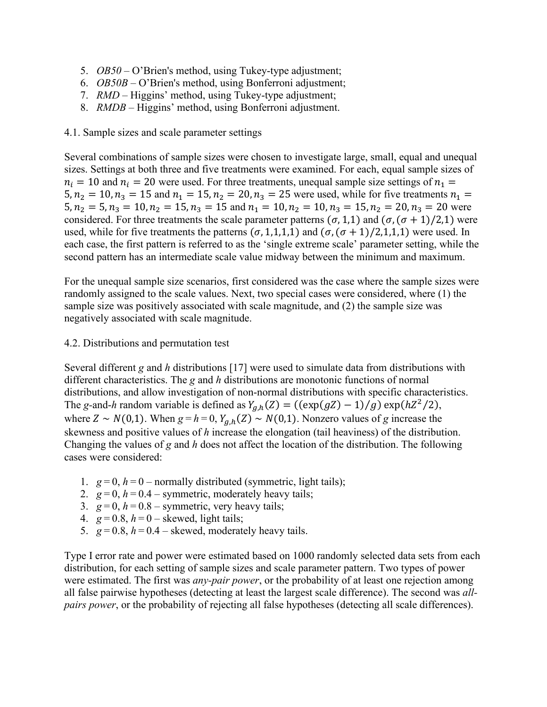- 5. *OB50* O'Brien's method, using Tukey-type adjustment;
- 6. *OB50B* O'Brien's method, using Bonferroni adjustment;
- 7. *RMD* Higgins' method, using Tukey-type adjustment;
- 8. *RMDB* Higgins' method, using Bonferroni adjustment.

#### 4.1. Sample sizes and scale parameter settings

Several combinations of sample sizes were chosen to investigate large, small, equal and unequal sizes. Settings at both three and five treatments were examined. For each, equal sample sizes of  $n_i = 10$  and  $n_i = 20$  were used. For three treatments, unequal sample size settings of  $n_i =$ 5,  $n_2 = 10$ ,  $n_3 = 15$  and  $n_1 = 15$ ,  $n_2 = 20$ ,  $n_3 = 25$  were used, while for five treatments  $n_1 =$  $5, n_2 = 5, n_3 = 10, n_2 = 15, n_3 = 15$  and  $n_1 = 10, n_2 = 10, n_3 = 15, n_2 = 20, n_3 = 20$  were considered. For three treatments the scale parameter patterns  $(\sigma, 1,1)$  and  $(\sigma, (\sigma + 1)/2,1)$  were used, while for five treatments the patterns  $(\sigma, 1,1,1,1)$  and  $(\sigma, (\sigma + 1)/2,1,1,1)$  were used. In each case, the first pattern is referred to as the 'single extreme scale' parameter setting, while the second pattern has an intermediate scale value midway between the minimum and maximum.

For the unequal sample size scenarios, first considered was the case where the sample sizes were randomly assigned to the scale values. Next, two special cases were considered, where (1) the sample size was positively associated with scale magnitude, and (2) the sample size was negatively associated with scale magnitude.

#### 4.2. Distributions and permutation test

Several different *g* and *h* distributions [17] were used to simulate data from distributions with different characteristics. The *g* and *h* distributions are monotonic functions of normal distributions, and allow investigation of non-normal distributions with specific characteristics. The *g*-and-*h* random variable is defined as  $Y_{g,h}(Z) = ((\exp(gZ) - 1)/g) \exp(hZ^2/2)$ , where  $Z \sim N(0,1)$ . When  $g = h = 0$ ,  $Y_{a,h}(Z) \sim N(0,1)$ . Nonzero values of *g* increase the skewness and positive values of *h* increase the elongation (tail heaviness) of the distribution. Changing the values of *g* and *h* does not affect the location of the distribution. The following cases were considered:

- 1.  $g = 0$ ,  $h = 0$  normally distributed (symmetric, light tails);
- 2.  $g = 0$ ,  $h = 0.4$  symmetric, moderately heavy tails;
- 3.  $g = 0$ ,  $h = 0.8$  symmetric, very heavy tails;
- 4.  $g = 0.8$ ,  $h = 0$  skewed, light tails;
- 5.  $g = 0.8$ ,  $h = 0.4$  skewed, moderately heavy tails.

Type I error rate and power were estimated based on 1000 randomly selected data sets from each distribution, for each setting of sample sizes and scale parameter pattern. Two types of power were estimated. The first was *any-pair power*, or the probability of at least one rejection among all false pairwise hypotheses (detecting at least the largest scale difference). The second was *allpairs power*, or the probability of rejecting all false hypotheses (detecting all scale differences).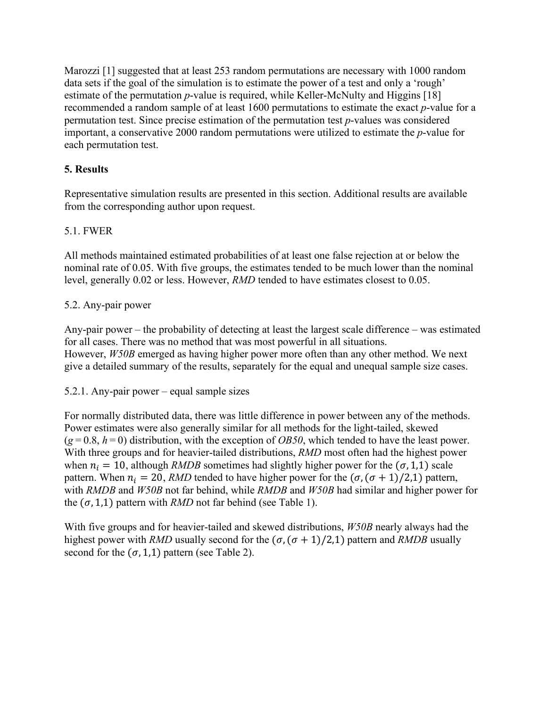Marozzi [1] suggested that at least 253 random permutations are necessary with 1000 random data sets if the goal of the simulation is to estimate the power of a test and only a 'rough' estimate of the permutation *p*-value is required, while Keller-McNulty and Higgins [18] recommended a random sample of at least 1600 permutations to estimate the exact *p*-value for a permutation test. Since precise estimation of the permutation test *p*-values was considered important, a conservative 2000 random permutations were utilized to estimate the *p*-value for each permutation test.

# **5. Results**

Representative simulation results are presented in this section. Additional results are available from the corresponding author upon request.

## 5.1. FWER

All methods maintained estimated probabilities of at least one false rejection at or below the nominal rate of 0.05. With five groups, the estimates tended to be much lower than the nominal level, generally 0.02 or less. However, *RMD* tended to have estimates closest to 0.05.

## 5.2. Any-pair power

Any-pair power – the probability of detecting at least the largest scale difference – was estimated for all cases. There was no method that was most powerful in all situations. However, *W50B* emerged as having higher power more often than any other method. We next give a detailed summary of the results, separately for the equal and unequal sample size cases.

5.2.1. Any-pair power – equal sample sizes

For normally distributed data, there was little difference in power between any of the methods. Power estimates were also generally similar for all methods for the light-tailed, skewed  $(g=0.8, h=0)$  distribution, with the exception of *OB50*, which tended to have the least power. With three groups and for heavier-tailed distributions, *RMD* most often had the highest power when  $n_i = 10$ , although *RMDB* sometimes had slightly higher power for the  $(\sigma, 1,1)$  scale pattern. When  $n_i = 20$ , *RMD* tended to have higher power for the  $(\sigma, (\sigma + 1)/2, 1)$  pattern, with *RMDB* and *W50B* not far behind, while *RMDB* and *W50B* had similar and higher power for the  $(\sigma, 1, 1)$  pattern with *RMD* not far behind (see Table 1).

With five groups and for heavier-tailed and skewed distributions, *W50B* nearly always had the highest power with *RMD* usually second for the  $(\sigma, (\sigma + 1)/2,1)$  pattern and *RMDB* usually second for the  $(\sigma, 1, 1)$  pattern (see Table 2).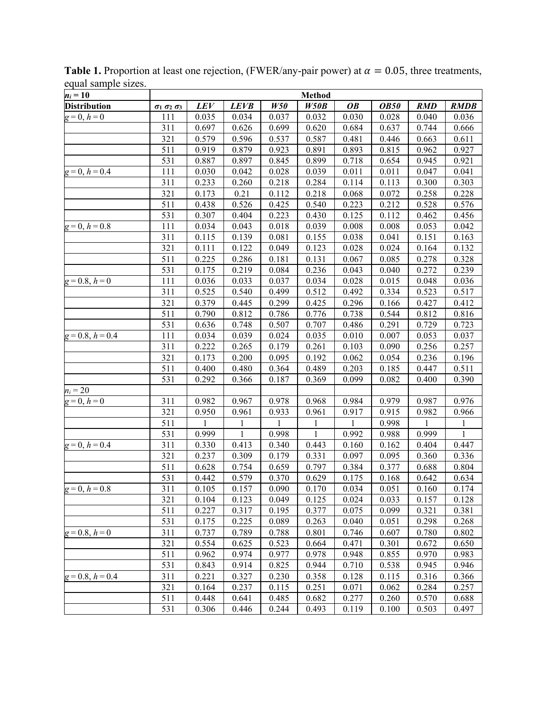| $n_i = 10$          |                                  | <b>Method</b> |              |              |       |              |             |              |              |  |  |
|---------------------|----------------------------------|---------------|--------------|--------------|-------|--------------|-------------|--------------|--------------|--|--|
| <b>Distribution</b> | $\sigma_1$ $\sigma_2$ $\sigma_3$ | LEV           | <b>LEVB</b>  | W50          | W50B  | <b>OB</b>    | <b>OB50</b> | <b>RMD</b>   | <b>RMDB</b>  |  |  |
| $g=0, h=0$          | 111                              | 0.035         | 0.034        | 0.037        | 0.032 | 0.030        | 0.028       | 0.040        | 0.036        |  |  |
|                     | 311                              | 0.697         | 0.626        | 0.699        | 0.620 | 0.684        | 0.637       | 0.744        | 0.666        |  |  |
|                     | 321                              | 0.579         | 0.596        | 0.537        | 0.587 | 0.481        | 0.446       | 0.663        | 0.611        |  |  |
|                     | 511                              | 0.919         | 0.879        | 0.923        | 0.891 | 0.893        | 0.815       | 0.962        | 0.927        |  |  |
|                     | 531                              | 0.887         | 0.897        | 0.845        | 0.899 | 0.718        | 0.654       | 0.945        | 0.921        |  |  |
| $g=0, h=0.4$        | 111                              | 0.030         | 0.042        | 0.028        | 0.039 | 0.011        | 0.011       | 0.047        | 0.041        |  |  |
|                     | 311                              | 0.233         | 0.260        | 0.218        | 0.284 | 0.114        | 0.113       | 0.300        | 0.303        |  |  |
|                     | 321                              | 0.173         | 0.21         | 0.112        | 0.218 | 0.068        | 0.072       | 0.258        | 0.228        |  |  |
|                     | 511                              | 0.438         | 0.526        | 0.425        | 0.540 | 0.223        | 0.212       | 0.528        | 0.576        |  |  |
|                     | 531                              | 0.307         | 0.404        | 0.223        | 0.430 | 0.125        | 0.112       | 0.462        | 0.456        |  |  |
| $g=0, h=0.8$        | 111                              | 0.034         | 0.043        | 0.018        | 0.039 | 0.008        | 0.008       | 0.053        | 0.042        |  |  |
|                     | 311                              | 0.115         | 0.139        | 0.081        | 0.155 | 0.038        | 0.041       | 0.151        | 0.163        |  |  |
|                     | 321                              | 0.111         | 0.122        | 0.049        | 0.123 | 0.028        | 0.024       | 0.164        | 0.132        |  |  |
|                     | 511                              | 0.225         | 0.286        | 0.181        | 0.131 | 0.067        | 0.085       | 0.278        | 0.328        |  |  |
|                     | 531                              | 0.175         | 0.219        | 0.084        | 0.236 | 0.043        | 0.040       | 0.272        | 0.239        |  |  |
| $g = 0.8$ , $h = 0$ | 111                              | 0.036         | 0.033        | 0.037        | 0.034 | 0.028        | 0.015       | 0.048        | 0.036        |  |  |
|                     | 311                              | 0.525         | 0.540        | 0.499        | 0.512 | 0.492        | 0.334       | 0.523        | 0.517        |  |  |
|                     | 321                              | 0.379         | 0.445        | 0.299        | 0.425 | 0.296        | 0.166       | 0.427        | 0.412        |  |  |
|                     | 511                              | 0.790         | 0.812        | 0.786        | 0.776 | 0.738        | 0.544       | 0.812        | 0.816        |  |  |
|                     | 531                              | 0.636         | 0.748        | 0.507        | 0.707 | 0.486        | 0.291       | 0.729        | 0.723        |  |  |
| $g=0.8, h=0.4$      | 111                              | 0.034         | 0.039        | 0.024        | 0.035 | 0.010        | 0.007       | 0.053        | 0.037        |  |  |
|                     | 311                              | 0.222         | 0.265        | 0.179        | 0.261 | 0.103        | 0.090       | 0.256        | 0.257        |  |  |
|                     | 321                              | 0.173         | 0.200        | 0.095        | 0.192 | 0.062        | 0.054       | 0.236        | 0.196        |  |  |
|                     | 511                              | 0.400         | 0.480        | 0.364        | 0.489 | 0.203        | 0.185       | 0.447        | 0.511        |  |  |
|                     | 531                              | 0.292         | 0.366        | 0.187        | 0.369 | 0.099        | 0.082       | 0.400        | 0.390        |  |  |
| $n_i = 20$          |                                  |               |              |              |       |              |             |              |              |  |  |
| $g=0, h=0$          | 311                              | 0.982         | 0.967        | 0.978        | 0.968 | 0.984        | 0.979       | 0.987        | 0.976        |  |  |
|                     | 321                              | 0.950         | 0.961        | 0.933        | 0.961 | 0.917        | 0.915       | 0.982        | 0.966        |  |  |
|                     | 511                              | 1             | $\mathbf{1}$ | $\mathbf{1}$ | 1     | $\mathbf{1}$ | 0.998       | $\mathbf{1}$ | $\mathbf{1}$ |  |  |
|                     | 531                              | 0.999         | $\mathbf{1}$ | 0.998        | 1     | 0.992        | 0.988       | 0.999        | 1            |  |  |
| $g=0, h=0.4$        | 311                              | 0.330         | 0.413        | 0.340        | 0.443 | 0.160        | 0.162       | 0.404        | 0.447        |  |  |
|                     | 321                              | 0.237         | 0.309        | 0.179        | 0.331 | 0.097        | 0.095       | 0.360        | 0.336        |  |  |
|                     | 511                              | 0.628         | 0.754        | 0.659        | 0.797 | 0.384        | 0.377       | 0.688        | 0.804        |  |  |
|                     | 531                              | 0.442         | 0.579        | 0.370        | 0.629 | 0.175        | 0.168       | 0.642        | 0.634        |  |  |
| $g=0, h=0.8$        | 311                              | 0.105         | 0.157        | 0.090        | 0.170 | 0.034        | 0.051       | 0.160        | 0.174        |  |  |
|                     | 321                              | 0.104         | 0.123        | 0.049        | 0.125 | 0.024        | 0.033       | 0.157        | 0.128        |  |  |
|                     | 511                              | 0.227         | 0.317        | 0.195        | 0.377 | 0.075        | 0.099       | 0.321        | 0.381        |  |  |
|                     | 531                              | 0.175         | 0.225        | 0.089        | 0.263 | 0.040        | 0.051       | 0.298        | 0.268        |  |  |
| $g=0.8, h=0$        | 311                              | 0.737         | 0.789        | 0.788        | 0.801 | 0.746        | 0.607       | 0.780        | 0.802        |  |  |
|                     | 321                              | 0.554         | 0.625        | 0.523        | 0.664 | 0.471        | 0.301       | 0.672        | 0.650        |  |  |
|                     | 511                              | 0.962         | 0.974        | 0.977        | 0.978 | 0.948        | 0.855       | 0.970        | 0.983        |  |  |
|                     | 531                              | 0.843         | 0.914        | 0.825        | 0.944 | 0.710        | 0.538       | 0.945        | 0.946        |  |  |
| $g=0.8, h=0.4$      | 311                              | 0.221         | 0.327        | 0.230        | 0.358 | 0.128        | 0.115       | 0.316        | 0.366        |  |  |
|                     | 321                              | 0.164         | 0.237        | 0.115        | 0.251 | 0.071        | 0.062       | 0.284        | 0.257        |  |  |
|                     | 511                              | 0.448         | 0.641        | 0.485        | 0.682 | 0.277        | 0.260       | 0.570        | 0.688        |  |  |
|                     | 531                              | 0.306         | 0.446        | 0.244        | 0.493 | 0.119        | 0.100       | 0.503        | 0.497        |  |  |

**Table 1.** Proportion at least one rejection, (FWER/any-pair power) at  $\alpha = 0.05$ , three treatments, equal sample sizes.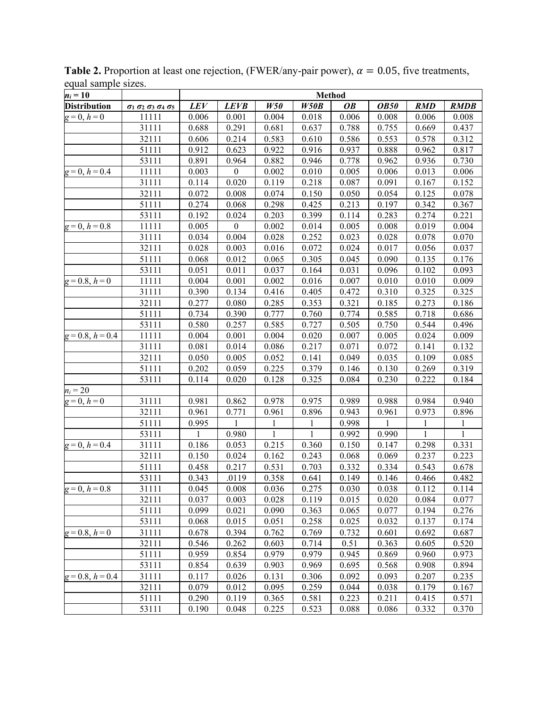| $n_i = 10$          |                                                        | <b>Method</b> |                  |              |              |           |             |            |             |
|---------------------|--------------------------------------------------------|---------------|------------------|--------------|--------------|-----------|-------------|------------|-------------|
| <b>Distribution</b> | $\sigma_1$ $\sigma_2$ $\sigma_3$ $\sigma_4$ $\sigma_5$ | <b>LEV</b>    | <b>LEVB</b>      | W50          | W50B         | <b>OB</b> | <b>OB50</b> | <b>RMD</b> | <b>RMDB</b> |
| $g=0, h=0$          | 11111                                                  | 0.006         | 0.001            | 0.004        | 0.018        | 0.006     | 0.008       | 0.006      | 0.008       |
|                     | 31111                                                  | 0.688         | 0.291            | 0.681        | 0.637        | 0.788     | 0.755       | 0.669      | 0.437       |
|                     | 32111                                                  | 0.606         | 0.214            | 0.583        | 0.610        | 0.586     | 0.553       | 0.578      | 0.312       |
|                     | 51111                                                  | 0.912         | 0.623            | 0.922        | 0.916        | 0.937     | 0.888       | 0.962      | 0.817       |
|                     | 53111                                                  | 0.891         | 0.964            | 0.882        | 0.946        | 0.778     | 0.962       | 0.936      | 0.730       |
| $g=0, h=0.4$        | 11111                                                  | 0.003         | $\boldsymbol{0}$ | 0.002        | 0.010        | 0.005     | 0.006       | 0.013      | 0.006       |
|                     | 31111                                                  | 0.114         | 0.020            | 0.119        | 0.218        | 0.087     | 0.091       | 0.167      | 0.152       |
|                     | 32111                                                  | 0.072         | 0.008            | 0.074        | 0.150        | 0.050     | 0.054       | 0.125      | 0.078       |
|                     | 51111                                                  | 0.274         | 0.068            | 0.298        | 0.425        | 0.213     | 0.197       | 0.342      | 0.367       |
|                     | 53111                                                  | 0.192         | 0.024            | 0.203        | 0.399        | 0.114     | 0.283       | 0.274      | 0.221       |
| $g=0, h=0.8$        | 11111                                                  | 0.005         | $\mathbf{0}$     | 0.002        | 0.014        | 0.005     | 0.008       | 0.019      | 0.004       |
|                     | 31111                                                  | 0.034         | 0.004            | 0.028        | 0.252        | 0.023     | 0.028       | 0.078      | 0.070       |
|                     | 32111                                                  | 0.028         | 0.003            | 0.016        | 0.072        | 0.024     | 0.017       | 0.056      | 0.037       |
|                     | 51111                                                  | 0.068         | 0.012            | 0.065        | 0.305        | 0.045     | 0.090       | 0.135      | 0.176       |
|                     | 53111                                                  | 0.051         | 0.011            | 0.037        | 0.164        | 0.031     | 0.096       | 0.102      | 0.093       |
| $g=0.8, h=0$        | 11111                                                  | 0.004         | 0.001            | 0.002        | 0.016        | 0.007     | 0.010       | 0.010      | 0.009       |
|                     | 31111                                                  | 0.390         | 0.134            | 0.416        | 0.405        | 0.472     | 0.310       | 0.325      | 0.325       |
|                     | 32111                                                  | 0.277         | 0.080            | 0.285        | 0.353        | 0.321     | 0.185       | 0.273      | 0.186       |
|                     | 51111                                                  | 0.734         | 0.390            | 0.777        | 0.760        | 0.774     | 0.585       | 0.718      | 0.686       |
|                     | 53111                                                  | 0.580         | 0.257            | 0.585        | 0.727        | 0.505     | 0.750       | 0.544      | 0.496       |
| $g=0.8, h=0.4$      | 11111                                                  | 0.004         | 0.001            | 0.004        | 0.020        | 0.007     | 0.005       | 0.024      | 0.009       |
|                     | 31111                                                  | 0.081         | 0.014            | 0.086        | 0.217        | 0.071     | 0.072       | 0.141      | 0.132       |
|                     | 32111                                                  | 0.050         | 0.005            | 0.052        | 0.141        | 0.049     | 0.035       | 0.109      | 0.085       |
|                     | 51111                                                  | 0.202         | 0.059            | 0.225        | 0.379        | 0.146     | 0.130       | 0.269      | 0.319       |
|                     | 53111                                                  | 0.114         | 0.020            | 0.128        | 0.325        | 0.084     | 0.230       | 0.222      | 0.184       |
| $n_i = 20$          |                                                        |               |                  |              |              |           |             |            |             |
| $g=0, h=0$          | 31111                                                  | 0.981         | 0.862            | 0.978        | 0.975        | 0.989     | 0.988       | 0.984      | 0.940       |
|                     | 32111                                                  | 0.961         | 0.771            | 0.961        | 0.896        | 0.943     | 0.961       | 0.973      | 0.896       |
|                     | 51111                                                  | 0.995         | 1                | 1            | $\mathbf{1}$ | 0.998     | 1           | 1          | 1           |
|                     | 53111                                                  | 1             | 0.980            | $\mathbf{1}$ | $\mathbf{1}$ | 0.992     | 0.990       | 1          | 1           |
| $g=0, h=0.4$        | 31111                                                  | 0.186         | 0.053            | 0.215        | 0.360        | 0.150     | 0.147       | 0.298      | 0.331       |
|                     | 32111                                                  | 0.150         | 0.024            | 0.162        | 0.243        | 0.068     | 0.069       | 0.237      | 0.223       |
|                     | 51111                                                  | 0.458         | 0.217            | 0.531        | 0.703        | 0.332     | 0.334       | 0.543      | 0.678       |
|                     | 53111                                                  | 0.343         | .0119            | 0.358        | 0.641        | 0.149     | 0.146       | 0.466      | 0.482       |
| $g=0, h=0.8$        | 31111                                                  | 0.045         | 0.008            | 0.036        | 0.275        | 0.030     | 0.038       | 0.112      | 0.114       |
|                     | 32111                                                  | 0.037         | 0.003            | 0.028        | 0.119        | 0.015     | 0.020       | 0.084      | 0.077       |
|                     | 51111                                                  | 0.099         | 0.021            | 0.090        | 0.363        | 0.065     | 0.077       | 0.194      | 0.276       |
|                     | 53111                                                  | 0.068         | 0.015            | 0.051        | 0.258        | 0.025     | 0.032       | 0.137      | 0.174       |
| $g=0.8, h=0$        | 31111                                                  | 0.678         | 0.394            | 0.762        | 0.769        | 0.732     | 0.601       | 0.692      | 0.687       |
|                     | 32111                                                  | 0.546         | 0.262            | 0.603        | 0.714        | 0.51      | 0.363       | 0.605      | 0.520       |
|                     | 51111                                                  | 0.959         | 0.854            | 0.979        | 0.979        | 0.945     | 0.869       | 0.960      | 0.973       |
|                     | 53111                                                  | 0.854         | 0.639            | 0.903        | 0.969        | 0.695     | 0.568       | 0.908      | 0.894       |
| $g=0.8, h=0.4$      | 31111                                                  | 0.117         | 0.026            | 0.131        | 0.306        | 0.092     | 0.093       | 0.207      | 0.235       |
|                     | 32111                                                  | 0.079         | 0.012            | 0.095        | 0.259        | 0.044     | 0.038       | 0.179      | 0.167       |
|                     | 51111                                                  | 0.290         | 0.119            | 0.365        | 0.581        | 0.223     | 0.211       | 0.415      | 0.571       |
|                     | 53111                                                  | 0.190         | 0.048            | 0.225        | 0.523        | 0.088     | 0.086       | 0.332      | 0.370       |

**Table 2.** Proportion at least one rejection, (FWER/any-pair power),  $\alpha = 0.05$ , five treatments, equal sample sizes.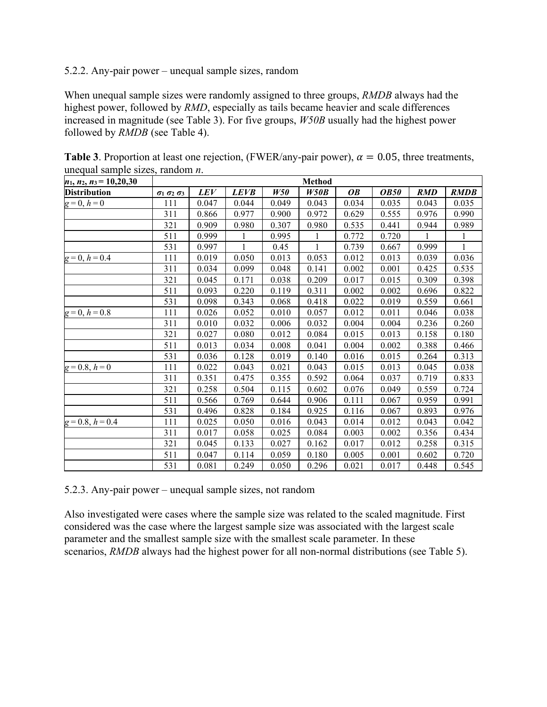### 5.2.2. Any-pair power – unequal sample sizes, random

When unequal sample sizes were randomly assigned to three groups, *RMDB* always had the highest power, followed by *RMD*, especially as tails became heavier and scale differences increased in magnitude (see Table 3). For five groups, *W50B* usually had the highest power followed by *RMDB* (see Table 4).

| $n_1$ , $n_2$ , $n_3 = 10,20,30$ | <b>Method</b>                |       |              |       |       |           |             |            |              |  |
|----------------------------------|------------------------------|-------|--------------|-------|-------|-----------|-------------|------------|--------------|--|
| <b>Distribution</b>              | $\sigma_1 \sigma_2 \sigma_3$ | LEV   | <b>LEVB</b>  | W50   | W50B  | <b>OB</b> | <b>OB50</b> | <b>RMD</b> | <b>RMDB</b>  |  |
| $g=0, h=0$                       | 111                          | 0.047 | 0.044        | 0.049 | 0.043 | 0.034     | 0.035       | 0.043      | 0.035        |  |
|                                  | 311                          | 0.866 | 0.977        | 0.900 | 0.972 | 0.629     | 0.555       | 0.976      | 0.990        |  |
|                                  | 321                          | 0.909 | 0.980        | 0.307 | 0.980 | 0.535     | 0.441       | 0.944      | 0.989        |  |
|                                  | 511                          | 0.999 | 1            | 0.995 |       | 0.772     | 0.720       | 1          | 1            |  |
|                                  | 531                          | 0.997 | $\mathbf{1}$ | 0.45  | 1     | 0.739     | 0.667       | 0.999      | $\mathbf{1}$ |  |
| $g=0, h=0.4$                     | 111                          | 0.019 | 0.050        | 0.013 | 0.053 | 0.012     | 0.013       | 0.039      | 0.036        |  |
|                                  | 311                          | 0.034 | 0.099        | 0.048 | 0.141 | 0.002     | 0.001       | 0.425      | 0.535        |  |
|                                  | 321                          | 0.045 | 0.171        | 0.038 | 0.209 | 0.017     | 0.015       | 0.309      | 0.398        |  |
|                                  | 511                          | 0.093 | 0.220        | 0.119 | 0.311 | 0.002     | 0.002       | 0.696      | 0.822        |  |
|                                  | 531                          | 0.098 | 0.343        | 0.068 | 0.418 | 0.022     | 0.019       | 0.559      | 0.661        |  |
| $g=0, h=0.8$                     | 111                          | 0.026 | 0.052        | 0.010 | 0.057 | 0.012     | 0.011       | 0.046      | 0.038        |  |
|                                  | 311                          | 0.010 | 0.032        | 0.006 | 0.032 | 0.004     | 0.004       | 0.236      | 0.260        |  |
|                                  | 321                          | 0.027 | 0.080        | 0.012 | 0.084 | 0.015     | 0.013       | 0.158      | 0.180        |  |
|                                  | 511                          | 0.013 | 0.034        | 0.008 | 0.041 | 0.004     | 0.002       | 0.388      | 0.466        |  |
|                                  | 531                          | 0.036 | 0.128        | 0.019 | 0.140 | 0.016     | 0.015       | 0.264      | 0.313        |  |
| $g=0.8, h=0$                     | 111                          | 0.022 | 0.043        | 0.021 | 0.043 | 0.015     | 0.013       | 0.045      | 0.038        |  |
|                                  | 311                          | 0.351 | 0.475        | 0.355 | 0.592 | 0.064     | 0.037       | 0.719      | 0.833        |  |
|                                  | 321                          | 0.258 | 0.504        | 0.115 | 0.602 | 0.076     | 0.049       | 0.559      | 0.724        |  |
|                                  | 511                          | 0.566 | 0.769        | 0.644 | 0.906 | 0.111     | 0.067       | 0.959      | 0.991        |  |
|                                  | 531                          | 0.496 | 0.828        | 0.184 | 0.925 | 0.116     | 0.067       | 0.893      | 0.976        |  |
| $g = 0.8$ , $h = 0.4$            | 111                          | 0.025 | 0.050        | 0.016 | 0.043 | 0.014     | 0.012       | 0.043      | 0.042        |  |
|                                  | 311                          | 0.017 | 0.058        | 0.025 | 0.084 | 0.003     | 0.002       | 0.356      | 0.434        |  |
|                                  | 321                          | 0.045 | 0.133        | 0.027 | 0.162 | 0.017     | 0.012       | 0.258      | 0.315        |  |
|                                  | 511                          | 0.047 | 0.114        | 0.059 | 0.180 | 0.005     | 0.001       | 0.602      | 0.720        |  |
|                                  | 531                          | 0.081 | 0.249        | 0.050 | 0.296 | 0.021     | 0.017       | 0.448      | 0.545        |  |

**Table 3**. Proportion at least one rejection, (FWER/any-pair power),  $\alpha = 0.05$ , three treatments, unequal sample sizes, random *n*.

5.2.3. Any-pair power – unequal sample sizes, not random

Also investigated were cases where the sample size was related to the scaled magnitude. First considered was the case where the largest sample size was associated with the largest scale parameter and the smallest sample size with the smallest scale parameter. In these scenarios, *RMDB* always had the highest power for all non-normal distributions (see Table 5).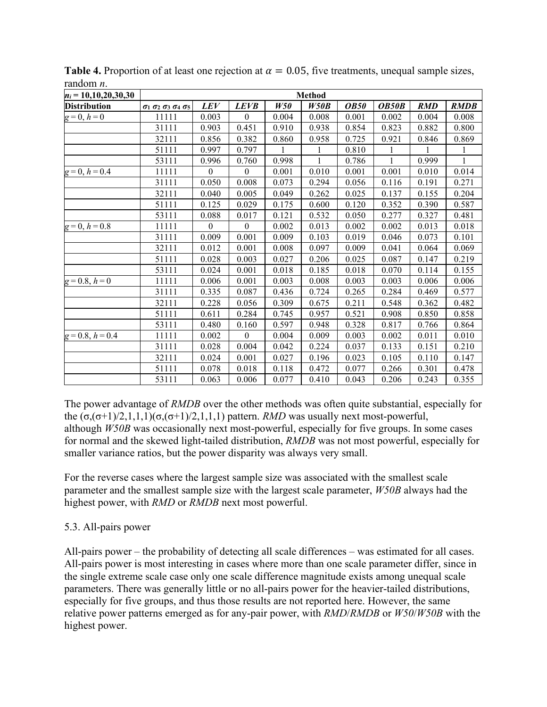| $n_i = 10, 10, 20, 30, 30$ | <b>Method</b> |                  |             |       |       |             |              |            |              |  |
|----------------------------|---------------|------------------|-------------|-------|-------|-------------|--------------|------------|--------------|--|
| <b>Distribution</b>        | 0102030405    | <b>LEV</b>       | <b>LEVB</b> | W50   | W50B  | <b>OB50</b> | <b>OB50B</b> | <b>RMD</b> | <b>RMDB</b>  |  |
| $g=0, h=0$                 | 11111         | 0.003            | $\theta$    | 0.004 | 0.008 | 0.001       | 0.002        | 0.004      | 0.008        |  |
|                            | 31111         | 0.903            | 0.451       | 0.910 | 0.938 | 0.854       | 0.823        | 0.882      | 0.800        |  |
|                            | 32111         | 0.856            | 0.382       | 0.860 | 0.958 | 0.725       | 0.921        | 0.846      | 0.869        |  |
|                            | 51111         | 0.997            | 0.797       | 1     | 1     | 0.810       | 1            | 1          | $\mathbf{1}$ |  |
|                            | 53111         | 0.996            | 0.760       | 0.998 | 1     | 0.786       | 1            | 0.999      | $\mathbf{1}$ |  |
| $g=0, h=0.4$               | 11111         | $\boldsymbol{0}$ | $\theta$    | 0.001 | 0.010 | 0.001       | 0.001        | 0.010      | 0.014        |  |
|                            | 31111         | 0.050            | 0.008       | 0.073 | 0.294 | 0.056       | 0.116        | 0.191      | 0.271        |  |
|                            | 32111         | 0.040            | 0.005       | 0.049 | 0.262 | 0.025       | 0.137        | 0.155      | 0.204        |  |
|                            | 51111         | 0.125            | 0.029       | 0.175 | 0.600 | 0.120       | 0.352        | 0.390      | 0.587        |  |
|                            | 53111         | 0.088            | 0.017       | 0.121 | 0.532 | 0.050       | 0.277        | 0.327      | 0.481        |  |
| $g=0, h=0.8$               | 11111         | $\mathbf{0}$     | $\theta$    | 0.002 | 0.013 | 0.002       | 0.002        | 0.013      | 0.018        |  |
|                            | 31111         | 0.009            | 0.001       | 0.009 | 0.103 | 0.019       | 0.046        | 0.073      | 0.101        |  |
|                            | 32111         | 0.012            | 0.001       | 0.008 | 0.097 | 0.009       | 0.041        | 0.064      | 0.069        |  |
|                            | 51111         | 0.028            | 0.003       | 0.027 | 0.206 | 0.025       | 0.087        | 0.147      | 0.219        |  |
|                            | 53111         | 0.024            | 0.001       | 0.018 | 0.185 | 0.018       | 0.070        | 0.114      | 0.155        |  |
| $g=0.8, h=0$               | 11111         | 0.006            | 0.001       | 0.003 | 0.008 | 0.003       | 0.003        | 0.006      | 0.006        |  |
|                            | 31111         | 0.335            | 0.087       | 0.436 | 0.724 | 0.265       | 0.284        | 0.469      | 0.577        |  |
|                            | 32111         | 0.228            | 0.056       | 0.309 | 0.675 | 0.211       | 0.548        | 0.362      | 0.482        |  |
|                            | 51111         | 0.611            | 0.284       | 0.745 | 0.957 | 0.521       | 0.908        | 0.850      | 0.858        |  |
|                            | 53111         | 0.480            | 0.160       | 0.597 | 0.948 | 0.328       | 0.817        | 0.766      | 0.864        |  |
| $g=0.8, h=0.4$             | 11111         | 0.002            | $\theta$    | 0.004 | 0.009 | 0.003       | 0.002        | 0.011      | 0.010        |  |
|                            | 31111         | 0.028            | 0.004       | 0.042 | 0.224 | 0.037       | 0.133        | 0.151      | 0.210        |  |
|                            | 32111         | 0.024            | 0.001       | 0.027 | 0.196 | 0.023       | 0.105        | 0.110      | 0.147        |  |
|                            | 51111         | 0.078            | 0.018       | 0.118 | 0.472 | 0.077       | 0.266        | 0.301      | 0.478        |  |
|                            | 53111         | 0.063            | 0.006       | 0.077 | 0.410 | 0.043       | 0.206        | 0.243      | 0.355        |  |

**Table 4.** Proportion of at least one rejection at  $\alpha = 0.05$ , five treatments, unequal sample sizes, random *n*.

The power advantage of *RMDB* over the other methods was often quite substantial, especially for the  $(σ, (σ+1)/2, 1, 1, 1)(σ, (σ+1)/2, 1, 1, 1)$  pattern. *RMD* was usually next most-powerful, although *W50B* was occasionally next most-powerful, especially for five groups. In some cases for normal and the skewed light-tailed distribution, *RMDB* was not most powerful, especially for smaller variance ratios, but the power disparity was always very small.

For the reverse cases where the largest sample size was associated with the smallest scale parameter and the smallest sample size with the largest scale parameter, *W50B* always had the highest power, with *RMD* or *RMDB* next most powerful.

## 5.3. All-pairs power

All-pairs power – the probability of detecting all scale differences – was estimated for all cases. All-pairs power is most interesting in cases where more than one scale parameter differ, since in the single extreme scale case only one scale difference magnitude exists among unequal scale parameters. There was generally little or no all-pairs power for the heavier-tailed distributions, especially for five groups, and thus those results are not reported here. However, the same relative power patterns emerged as for any-pair power, with *RMD*/*RMDB* or *W50*/*W50B* with the highest power.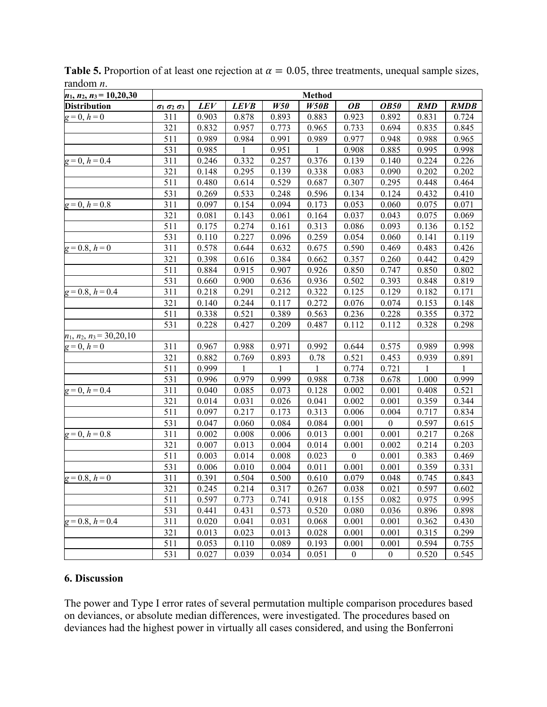| $n_1$ , $n_2$ , $n_3$ = 10,20,30 | <b>Method</b>                    |       |             |       |       |                  |                  |            |             |  |
|----------------------------------|----------------------------------|-------|-------------|-------|-------|------------------|------------------|------------|-------------|--|
| <b>Distribution</b>              | $\sigma_1$ $\sigma_2$ $\sigma_3$ | LEV   | <b>LEVB</b> | W50   | W50B  | <b>OB</b>        | <b>OB50</b>      | <b>RMD</b> | <b>RMDB</b> |  |
| $g=0, h=0$                       | 311                              | 0.903 | 0.878       | 0.893 | 0.883 | 0.923            | 0.892            | 0.831      | 0.724       |  |
|                                  | 321                              | 0.832 | 0.957       | 0.773 | 0.965 | 0.733            | 0.694            | 0.835      | 0.845       |  |
|                                  | 511                              | 0.989 | 0.984       | 0.991 | 0.989 | 0.977            | 0.948            | 0.988      | 0.965       |  |
|                                  | 531                              | 0.985 | 1           | 0.951 | 1     | 0.908            | 0.885            | 0.995      | 0.998       |  |
| $g=0, h=0.4$                     | 311                              | 0.246 | 0.332       | 0.257 | 0.376 | 0.139            | 0.140            | 0.224      | 0.226       |  |
|                                  | 321                              | 0.148 | 0.295       | 0.139 | 0.338 | 0.083            | 0.090            | 0.202      | 0.202       |  |
|                                  | 511                              | 0.480 | 0.614       | 0.529 | 0.687 | 0.307            | 0.295            | 0.448      | 0.464       |  |
|                                  | 531                              | 0.269 | 0.533       | 0.248 | 0.596 | 0.134            | 0.124            | 0.432      | 0.410       |  |
| $g=0, h=0.8$                     | 311                              | 0.097 | 0.154       | 0.094 | 0.173 | 0.053            | 0.060            | 0.075      | 0.071       |  |
|                                  | 321                              | 0.081 | 0.143       | 0.061 | 0.164 | 0.037            | 0.043            | 0.075      | 0.069       |  |
|                                  | 511                              | 0.175 | 0.274       | 0.161 | 0.313 | 0.086            | 0.093            | 0.136      | 0.152       |  |
|                                  | 531                              | 0.110 | 0.227       | 0.096 | 0.259 | 0.054            | 0.060            | 0.141      | 0.119       |  |
| $g = 0.8, h = 0$                 | 311                              | 0.578 | 0.644       | 0.632 | 0.675 | 0.590            | 0.469            | 0.483      | 0.426       |  |
|                                  | 321                              | 0.398 | 0.616       | 0.384 | 0.662 | 0.357            | 0.260            | 0.442      | 0.429       |  |
|                                  | 511                              | 0.884 | 0.915       | 0.907 | 0.926 | 0.850            | 0.747            | 0.850      | 0.802       |  |
|                                  | 531                              | 0.660 | 0.900       | 0.636 | 0.936 | 0.502            | 0.393            | 0.848      | 0.819       |  |
| $g=0.8, h=0.4$                   | 311                              | 0.218 | 0.291       | 0.212 | 0.322 | 0.125            | 0.129            | 0.182      | 0.171       |  |
|                                  | 321                              | 0.140 | 0.244       | 0.117 | 0.272 | 0.076            | 0.074            | 0.153      | 0.148       |  |
|                                  | 511                              | 0.338 | 0.521       | 0.389 | 0.563 | 0.236            | 0.228            | 0.355      | 0.372       |  |
|                                  | 531                              | 0.228 | 0.427       | 0.209 | 0.487 | 0.112            | 0.112            | 0.328      | 0.298       |  |
| $n_1$ , $n_2$ , $n_3$ = 30,20,10 |                                  |       |             |       |       |                  |                  |            |             |  |
| $g=0, h=0$                       | 311                              | 0.967 | 0.988       | 0.971 | 0.992 | 0.644            | 0.575            | 0.989      | 0.998       |  |
|                                  | 321                              | 0.882 | 0.769       | 0.893 | 0.78  | 0.521            | 0.453            | 0.939      | 0.891       |  |
|                                  | 511                              | 0.999 | 1           | 1     | 1     | 0.774            | 0.721            | 1          | 1           |  |
|                                  | 531                              | 0.996 | 0.979       | 0.999 | 0.988 | 0.738            | 0.678            | 1.000      | 0.999       |  |
| $g=0, h=0.4$                     | 311                              | 0.040 | 0.085       | 0.073 | 0.128 | 0.002            | 0.001            | 0.408      | 0.521       |  |
|                                  | 321                              | 0.014 | 0.031       | 0.026 | 0.041 | 0.002            | 0.001            | 0.359      | 0.344       |  |
|                                  | 511                              | 0.097 | 0.217       | 0.173 | 0.313 | 0.006            | 0.004            | 0.717      | 0.834       |  |
|                                  | 531                              | 0.047 | 0.060       | 0.084 | 0.084 | 0.001            | $\boldsymbol{0}$ | 0.597      | 0.615       |  |
| $g=0, h=0.8$                     | 311                              | 0.002 | 0.008       | 0.006 | 0.013 | 0.001            | 0.001            | 0.217      | 0.268       |  |
|                                  | 321                              | 0.007 | 0.013       | 0.004 | 0.014 | 0.001            | 0.002            | 0.214      | 0.203       |  |
|                                  | 511                              | 0.003 | 0.014       | 0.008 | 0.023 | $\boldsymbol{0}$ | 0.001            | 0.383      | 0.469       |  |
|                                  | 531                              | 0.006 | 0.010       | 0.004 | 0.011 | 0.001            | 0.001            | 0.359      | 0.331       |  |
| $g=0.8, h=\overline{0}$          | 311                              | 0.391 | 0.504       | 0.500 | 0.610 | 0.079            | 0.048            | 0.745      | 0.843       |  |
|                                  | 321                              | 0.245 | 0.214       | 0.317 | 0.267 | 0.038            | 0.021            | 0.597      | 0.602       |  |
|                                  | 511                              | 0.597 | 0.773       | 0.741 | 0.918 | 0.155            | 0.082            | 0.975      | 0.995       |  |
|                                  | 531                              | 0.441 | 0.431       | 0.573 | 0.520 | 0.080            | 0.036            | 0.896      | 0.898       |  |
| $g = 0.8$ , $h = 0.4$            | 311                              | 0.020 | 0.041       | 0.031 | 0.068 | 0.001            | 0.001            | 0.362      | 0.430       |  |
|                                  | 321                              | 0.013 | 0.023       | 0.013 | 0.028 | 0.001            | 0.001            | 0.315      | 0.299       |  |
|                                  | 511                              | 0.053 | 0.110       | 0.089 | 0.193 | 0.001            | 0.001            | 0.594      | 0.755       |  |
|                                  | 531                              | 0.027 | 0.039       | 0.034 | 0.051 | $\boldsymbol{0}$ | $\boldsymbol{0}$ | 0.520      | 0.545       |  |

**Table 5.** Proportion of at least one rejection at  $\alpha = 0.05$ , three treatments, unequal sample sizes, random *n*.

### **6. Discussion**

The power and Type I error rates of several permutation multiple comparison procedures based on deviances, or absolute median differences, were investigated. The procedures based on deviances had the highest power in virtually all cases considered, and using the Bonferroni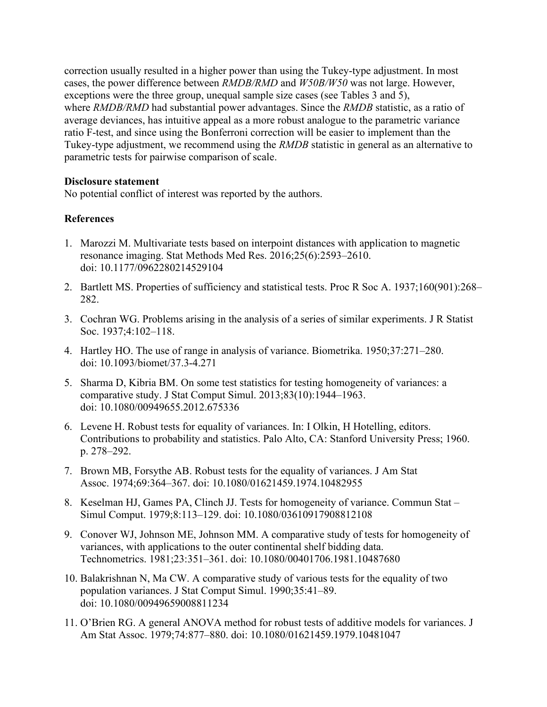correction usually resulted in a higher power than using the Tukey-type adjustment. In most cases, the power difference between *RMDB/RMD* and *W50B/W50* was not large. However, exceptions were the three group, unequal sample size cases (see Tables 3 and 5), where *RMDB/RMD* had substantial power advantages. Since the *RMDB* statistic, as a ratio of average deviances, has intuitive appeal as a more robust analogue to the parametric variance ratio F-test, and since using the Bonferroni correction will be easier to implement than the Tukey-type adjustment, we recommend using the *RMDB* statistic in general as an alternative to parametric tests for pairwise comparison of scale.

#### **Disclosure statement**

No potential conflict of interest was reported by the authors.

## **References**

- 1. Marozzi M. Multivariate tests based on interpoint distances with application to magnetic resonance imaging. Stat Methods Med Res. 2016;25(6):2593–2610. doi: 10.1177/0962280214529104
- 2. Bartlett MS. Properties of sufficiency and statistical tests. Proc R Soc A. 1937;160(901):268– 282.
- 3. Cochran WG. Problems arising in the analysis of a series of similar experiments. J R Statist Soc. 1937;4:102–118.
- 4. Hartley HO. The use of range in analysis of variance. Biometrika. 1950;37:271–280. doi: 10.1093/biomet/37.3-4.271
- 5. Sharma D, Kibria BM. On some test statistics for testing homogeneity of variances: a comparative study. J Stat Comput Simul. 2013;83(10):1944–1963. doi: 10.1080/00949655.2012.675336
- 6. Levene H. Robust tests for equality of variances. In: I Olkin, H Hotelling, editors. Contributions to probability and statistics. Palo Alto, CA: Stanford University Press; 1960. p. 278–292.
- 7. Brown MB, Forsythe AB. Robust tests for the equality of variances. J Am Stat Assoc. 1974;69:364–367. doi: 10.1080/01621459.1974.10482955
- 8. Keselman HJ, Games PA, Clinch JJ. Tests for homogeneity of variance. Commun Stat Simul Comput. 1979;8:113–129. doi: 10.1080/03610917908812108
- 9. Conover WJ, Johnson ME, Johnson MM. A comparative study of tests for homogeneity of variances, with applications to the outer continental shelf bidding data. Technometrics. 1981;23:351–361. doi: 10.1080/00401706.1981.10487680
- 10. Balakrishnan N, Ma CW. A comparative study of various tests for the equality of two population variances. J Stat Comput Simul. 1990;35:41–89. doi: 10.1080/00949659008811234
- 11. O'Brien RG. A general ANOVA method for robust tests of additive models for variances. J Am Stat Assoc. 1979;74:877–880. doi: 10.1080/01621459.1979.10481047